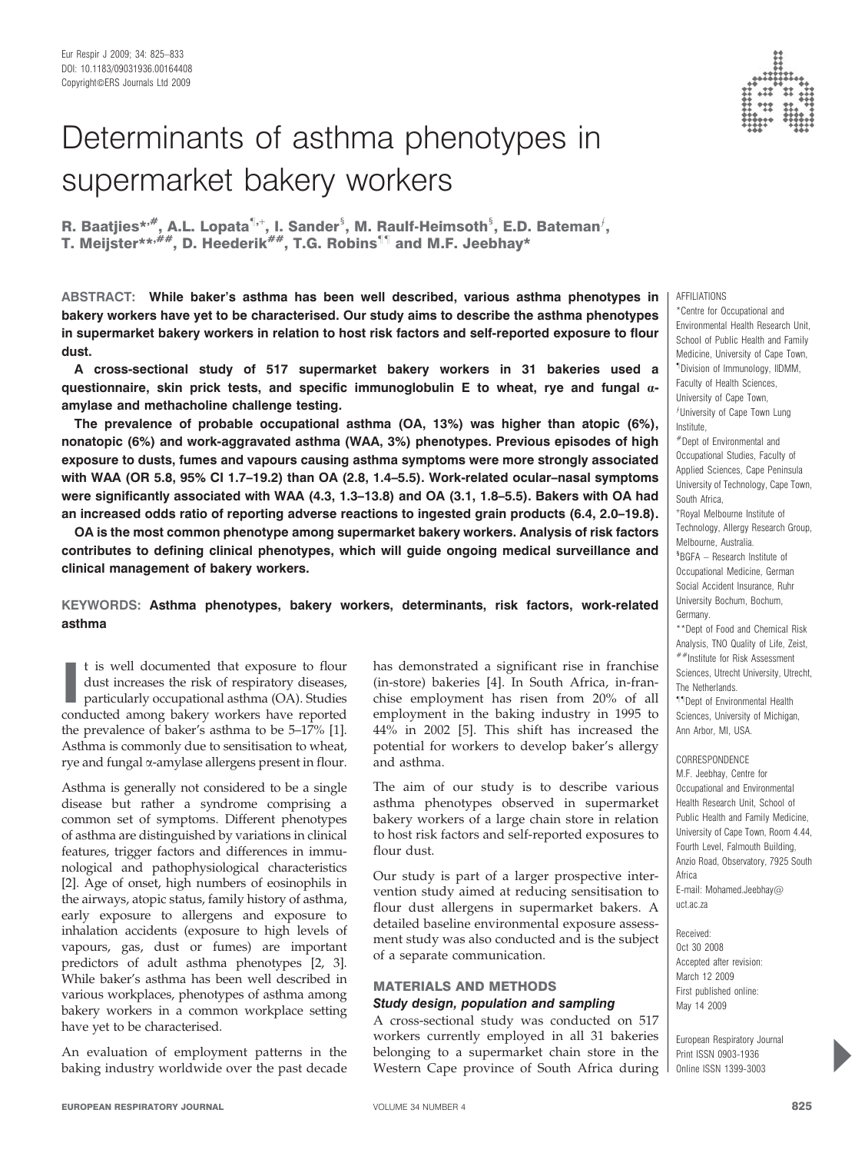

R. Baatjies\*<sup>,#</sup>, A.L. Lopata<sup>¶,+</sup>, I. Sander<sup>§</sup>, M. Raulf-Heimsoth<sup>§</sup>, E.D. Bateman<sup>,</sup> T. Meijster\*\*,  $\#$ #, D. Heederik $\#$ #, T.G. Robins<sup>11</sup> and M.F. Jeebhay\*

ABSTRACT: While baker's asthma has been well described, various asthma phenotypes in bakery workers have yet to be characterised. Our study aims to describe the asthma phenotypes in supermarket bakery workers in relation to host risk factors and self-reported exposure to flour dust.

A cross-sectional study of 517 supermarket bakery workers in 31 bakeries used a questionnaire, skin prick tests, and specific immunoglobulin E to wheat, rye and fungal *a*amylase and methacholine challenge testing.

The prevalence of probable occupational asthma (OA, 13%) was higher than atopic (6%), nonatopic (6%) and work-aggravated asthma (WAA, 3%) phenotypes. Previous episodes of high exposure to dusts, fumes and vapours causing asthma symptoms were more strongly associated with WAA (OR 5.8, 95% CI 1.7–19.2) than OA (2.8, 1.4–5.5). Work-related ocular–nasal symptoms were significantly associated with WAA (4.3, 1.3–13.8) and OA (3.1, 1.8–5.5). Bakers with OA had an increased odds ratio of reporting adverse reactions to ingested grain products (6.4, 2.0–19.8).

OA is the most common phenotype among supermarket bakery workers. Analysis of risk factors contributes to defining clinical phenotypes, which will guide ongoing medical surveillance and clinical management of bakery workers.

# KEYWORDS: Asthma phenotypes, bakery workers, determinants, risk factors, work-related asthma

It is well documented that exposure to flour dust increases the risk of respiratory diseases, particularly occupational asthma (OA). Studies conducted among bakery workers have reported t is well documented that exposure to flour dust increases the risk of respiratory diseases, particularly occupational asthma (OA). Studies the prevalence of baker's asthma to be 5–17% [1]. Asthma is commonly due to sensitisation to wheat, rye and fungal a-amylase allergens present in flour.

Asthma is generally not considered to be a single disease but rather a syndrome comprising a common set of symptoms. Different phenotypes of asthma are distinguished by variations in clinical features, trigger factors and differences in immunological and pathophysiological characteristics [2]. Age of onset, high numbers of eosinophils in the airways, atopic status, family history of asthma, early exposure to allergens and exposure to inhalation accidents (exposure to high levels of vapours, gas, dust or fumes) are important predictors of adult asthma phenotypes [2, 3]. While baker's asthma has been well described in various workplaces, phenotypes of asthma among bakery workers in a common workplace setting have yet to be characterised.

An evaluation of employment patterns in the baking industry worldwide over the past decade has demonstrated a significant rise in franchise (in-store) bakeries [4]. In South Africa, in-franchise employment has risen from 20% of all employment in the baking industry in 1995 to 44% in 2002 [5]. This shift has increased the potential for workers to develop baker's allergy and asthma.

The aim of our study is to describe various asthma phenotypes observed in supermarket bakery workers of a large chain store in relation to host risk factors and self-reported exposures to flour dust.

Our study is part of a larger prospective intervention study aimed at reducing sensitisation to flour dust allergens in supermarket bakers. A detailed baseline environmental exposure assessment study was also conducted and is the subject of a separate communication.

## MATERIALS AND METHODS Study design, population and sampling

A cross-sectional study was conducted on 517 workers currently employed in all 31 bakeries belonging to a supermarket chain store in the Western Cape province of South Africa during |



\*Centre for Occupational and Environmental Health Research Unit, School of Public Health and Family Medicine, University of Cape Town, " Division of Immunology, IIDMM, Faculty of Health Sciences, University of Cape Town, fUniversity of Cape Town Lung Institute, #Dept of Environmental and Occupational Studies, Faculty of Applied Sciences, Cape Peninsula University of Technology, Cape Town, South Africa, + Royal Melbourne Institute of Technology, Allergy Research Group, Melbourne, Australia. 1 BGFA – Research Institute of Occupational Medicine, German Social Accident Insurance, Ruhr University Bochum, Bochum, Germany. \*\*Dept of Food and Chemical Risk Analysis, TNO Quality of Life, Zeist, ##Institute for Risk Assessment

Sciences, Utrecht University, Utrecht, The Netherlands. ""Dept of Environmental Health Sciences, Hniversity of Michigan

# Ann Arbor, MI, USA.

#### **CORRESPONDENCE**

M.F. Jeebhay, Centre for Occupational and Environmental Health Research Unit, School of Public Health and Family Medicine, University of Cape Town, Room 4.44, Fourth Level, Falmouth Building, Anzio Road, Observatory, 7925 South Africa E-mail: Mohamed.Jeebhay@ uct.ac.za

Received: Oct 30 2008 Accepted after revision: March 12 2009 First published online: May 14 2009

European Respiratory Journal Print ISSN 0903-1936 Online ISSN 1399-3003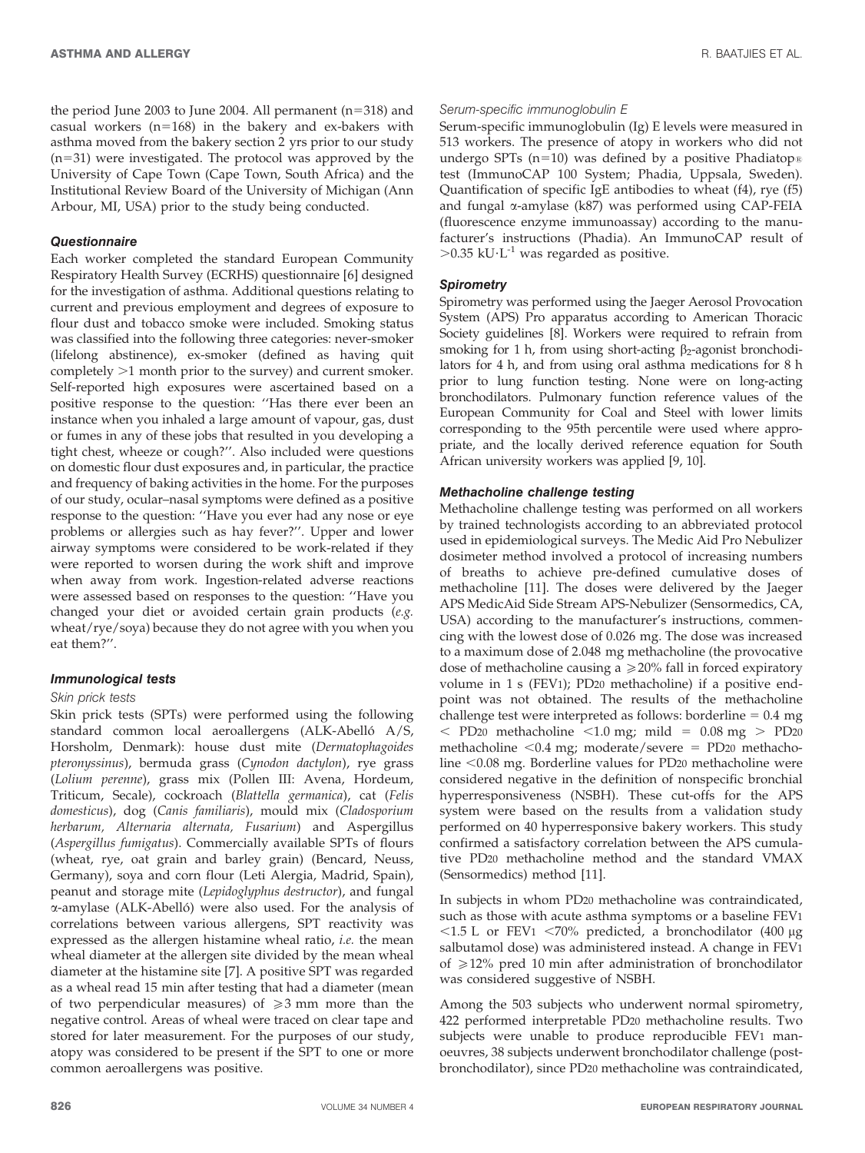the period June 2003 to June 2004. All permanent  $(n=318)$  and casual workers  $(n=168)$  in the bakery and ex-bakers with asthma moved from the bakery section 2 yrs prior to our study  $(n=31)$  were investigated. The protocol was approved by the University of Cape Town (Cape Town, South Africa) and the Institutional Review Board of the University of Michigan (Ann Arbour, MI, USA) prior to the study being conducted.

## **Questionnaire**

Each worker completed the standard European Community Respiratory Health Survey (ECRHS) questionnaire [6] designed for the investigation of asthma. Additional questions relating to current and previous employment and degrees of exposure to flour dust and tobacco smoke were included. Smoking status was classified into the following three categories: never-smoker (lifelong abstinence), ex-smoker (defined as having quit completely  $>1$  month prior to the survey) and current smoker. Self-reported high exposures were ascertained based on a positive response to the question: ''Has there ever been an instance when you inhaled a large amount of vapour, gas, dust or fumes in any of these jobs that resulted in you developing a tight chest, wheeze or cough?''. Also included were questions on domestic flour dust exposures and, in particular, the practice and frequency of baking activities in the home. For the purposes of our study, ocular–nasal symptoms were defined as a positive response to the question: ''Have you ever had any nose or eye problems or allergies such as hay fever?''. Upper and lower airway symptoms were considered to be work-related if they were reported to worsen during the work shift and improve when away from work. Ingestion-related adverse reactions were assessed based on responses to the question: ''Have you changed your diet or avoided certain grain products (e.g. wheat/rye/soya) because they do not agree with you when you eat them?''.

## Immunological tests

## Skin prick tests

Skin prick tests (SPTs) were performed using the following standard common local aeroallergens (ALK-Abelló A/S, Horsholm, Denmark): house dust mite (Dermatophagoides pteronyssinus), bermuda grass (Cynodon dactylon), rye grass (Lolium perenne), grass mix (Pollen III: Avena, Hordeum, Triticum, Secale), cockroach (Blattella germanica), cat (Felis domesticus), dog (Canis familiaris), mould mix (Cladosporium herbarum, Alternaria alternata, Fusarium) and Aspergillus (Aspergillus fumigatus). Commercially available SPTs of flours (wheat, rye, oat grain and barley grain) (Bencard, Neuss, Germany), soya and corn flour (Leti Alergia, Madrid, Spain), peanut and storage mite (Lepidoglyphus destructor), and fungal a-amylase (ALK-Abello´) were also used. For the analysis of correlations between various allergens, SPT reactivity was expressed as the allergen histamine wheal ratio, i.e. the mean wheal diameter at the allergen site divided by the mean wheal diameter at the histamine site [7]. A positive SPT was regarded as a wheal read 15 min after testing that had a diameter (mean of two perpendicular measures) of  $\geq 3$  mm more than the negative control. Areas of wheal were traced on clear tape and stored for later measurement. For the purposes of our study, atopy was considered to be present if the SPT to one or more common aeroallergens was positive.

## Serum-specific immunoglobulin E

Serum-specific immunoglobulin (Ig) E levels were measured in 513 workers. The presence of atopy in workers who did not undergo SPTs  $(n=10)$  was defined by a positive Phadiatop<sup>®</sup> test (ImmunoCAP 100 System; Phadia, Uppsala, Sweden). Quantification of specific IgE antibodies to wheat (f4), rye (f5) and fungal  $\alpha$ -amylase (k87) was performed using CAP-FEIA (fluorescence enzyme immunoassay) according to the manufacturer's instructions (Phadia). An ImmunoCAP result of  $>0.35$  kU·L<sup>-1</sup> was regarded as positive.

# **Spirometry**

Spirometry was performed using the Jaeger Aerosol Provocation System (APS) Pro apparatus according to American Thoracic Society guidelines [8]. Workers were required to refrain from smoking for 1 h, from using short-acting  $\beta_2$ -agonist bronchodilators for 4 h, and from using oral asthma medications for 8 h prior to lung function testing. None were on long-acting bronchodilators. Pulmonary function reference values of the European Community for Coal and Steel with lower limits corresponding to the 95th percentile were used where appropriate, and the locally derived reference equation for South African university workers was applied [9, 10].

# Methacholine challenge testing

Methacholine challenge testing was performed on all workers by trained technologists according to an abbreviated protocol used in epidemiological surveys. The Medic Aid Pro Nebulizer dosimeter method involved a protocol of increasing numbers of breaths to achieve pre-defined cumulative doses of methacholine [11]. The doses were delivered by the Jaeger APS MedicAid Side Stream APS-Nebulizer (Sensormedics, CA, USA) according to the manufacturer's instructions, commencing with the lowest dose of 0.026 mg. The dose was increased to a maximum dose of 2.048 mg methacholine (the provocative dose of methacholine causing a  $\geq$  20% fall in forced expiratory volume in 1 s (FEV1); PD20 methacholine) if a positive endpoint was not obtained. The results of the methacholine challenge test were interpreted as follows: borderline  $= 0.4$  mg  $\langle$  PD<sub>20</sub> methacholine  $\langle 1.0 \text{ mg}; \text{ mild} = 0.08 \text{ mg} > \text{PD}_{20}$ methacholine <0.4 mg; moderate/severe =  $PD20$  methacholine  $< 0.08$  mg. Borderline values for PD20 methacholine were considered negative in the definition of nonspecific bronchial hyperresponsiveness (NSBH). These cut-offs for the APS system were based on the results from a validation study performed on 40 hyperresponsive bakery workers. This study confirmed a satisfactory correlation between the APS cumulative PD20 methacholine method and the standard VMAX (Sensormedics) method [11].

In subjects in whom PD20 methacholine was contraindicated, such as those with acute asthma symptoms or a baseline FEV1  $<$ 1.5 L or FEV1  $<$ 70% predicted, a bronchodilator (400 µg) salbutamol dose) was administered instead. A change in FEV1 of  $\geq$  12% pred 10 min after administration of bronchodilator was considered suggestive of NSBH.

Among the 503 subjects who underwent normal spirometry, 422 performed interpretable PD20 methacholine results. Two subjects were unable to produce reproducible FEV1 manoeuvres, 38 subjects underwent bronchodilator challenge (postbronchodilator), since PD20 methacholine was contraindicated,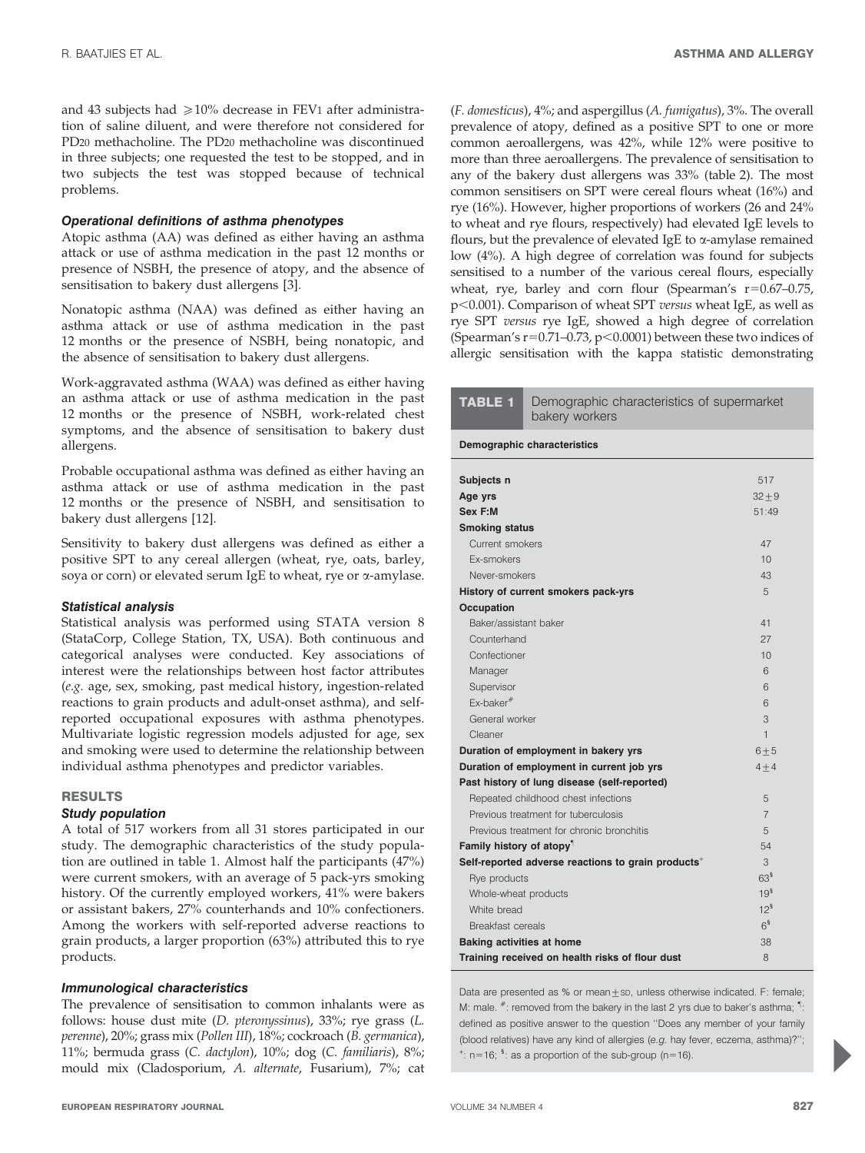and 43 subjects had  $\geq 10\%$  decrease in FEV1 after administration of saline diluent, and were therefore not considered for PD20 methacholine. The PD20 methacholine was discontinued in three subjects; one requested the test to be stopped, and in two subjects the test was stopped because of technical problems.

#### Operational definitions of asthma phenotypes

Atopic asthma (AA) was defined as either having an asthma attack or use of asthma medication in the past 12 months or presence of NSBH, the presence of atopy, and the absence of sensitisation to bakery dust allergens [3].

Nonatopic asthma (NAA) was defined as either having an asthma attack or use of asthma medication in the past 12 months or the presence of NSBH, being nonatopic, and the absence of sensitisation to bakery dust allergens.

Work-aggravated asthma (WAA) was defined as either having an asthma attack or use of asthma medication in the past 12 months or the presence of NSBH, work-related chest symptoms, and the absence of sensitisation to bakery dust allergens.

Probable occupational asthma was defined as either having an asthma attack or use of asthma medication in the past 12 months or the presence of NSBH, and sensitisation to bakery dust allergens [12].

Sensitivity to bakery dust allergens was defined as either a positive SPT to any cereal allergen (wheat, rye, oats, barley, soya or corn) or elevated serum IgE to wheat, rye or  $\alpha$ -amylase.

#### Statistical analysis

Statistical analysis was performed using STATA version 8 (StataCorp, College Station, TX, USA). Both continuous and categorical analyses were conducted. Key associations of interest were the relationships between host factor attributes (e.g. age, sex, smoking, past medical history, ingestion-related reactions to grain products and adult-onset asthma), and selfreported occupational exposures with asthma phenotypes. Multivariate logistic regression models adjusted for age, sex and smoking were used to determine the relationship between individual asthma phenotypes and predictor variables.

#### RESULTS

#### Study population

A total of 517 workers from all 31 stores participated in our study. The demographic characteristics of the study population are outlined in table 1. Almost half the participants (47%) were current smokers, with an average of 5 pack-yrs smoking history. Of the currently employed workers, 41% were bakers or assistant bakers, 27% counterhands and 10% confectioners. Among the workers with self-reported adverse reactions to grain products, a larger proportion (63%) attributed this to rye products.

#### Immunological characteristics

The prevalence of sensitisation to common inhalants were as follows: house dust mite (D. pteronyssinus), 33%; rye grass (L. perenne), 20%; grass mix (Pollen III), 18%; cockroach (B. germanica), 11%; bermuda grass (C. dactylon), 10%; dog (C. familiaris), 8%; mould mix (Cladosporium, A. alternate, Fusarium), 7%; cat (F. domesticus), 4%; and aspergillus (A. fumigatus), 3%. The overall prevalence of atopy, defined as a positive SPT to one or more common aeroallergens, was 42%, while 12% were positive to more than three aeroallergens. The prevalence of sensitisation to any of the bakery dust allergens was 33% (table 2). The most common sensitisers on SPT were cereal flours wheat (16%) and rye (16%). However, higher proportions of workers (26 and 24% to wheat and rye flours, respectively) had elevated IgE levels to flours, but the prevalence of elevated IgE to  $\alpha$ -amylase remained low (4%). A high degree of correlation was found for subjects sensitised to a number of the various cereal flours, especially wheat, rye, barley and corn flour (Spearman's  $r=0.67-0.75$ , p<0.001). Comparison of wheat SPT versus wheat IgE, as well as rye SPT versus rye IgE, showed a high degree of correlation (Spearman's  $r=0.71-0.73$ ,  $p<0.0001$ ) between these two indices of allergic sensitisation with the kappa statistic demonstrating

# TABLE 1 Demographic characteristics of supermarket bakery workers Demographic characteristics **Subjects n** 517 Age yrs  $32+9$ **Sex F:M** 51:49 Smoking status Current smokers 47 Ex-smokers 10 Never-smokers 43 History of current smokers pack-yrs 55 **Occupation** Baker/assistant baker 41 Counterhand 27 **Confectioner** 10 Manager 6 and the contract of the contract of the contract of the contract of the contract of the contract of the contract of the contract of the contract of the contract of the contract of the contract of the contract of Supervisor 6 and 3 and 3 and 3 and 3 and 3 and 4 and 4 and 4 and 4 and 4 and 4 and 4 and 4 and 4 and 4 and 4 and 4 and 4 and 4 and 4 and 4 and 4 and 4 and 4 and 4 and 4 and 4 and 4 and 4 and 4 and 4 and 4 and 4 and 4 and 4  $\mathsf{Ex\text{-}baker}^{\#}$  6 General worker 3 Cleaner 1 and 1 and 1 and 1 and 1 and 1 and 1 and 1 and 1 and 1 and 1 and 1 and 1 and 1 and 1 and 1 and 1 and 1 Duration of employment in bakery yrs  $6±5$ Duration of employment in current job yrs  $4 \pm 4$ Past history of lung disease (self-reported) Repeated childhood chest infections 5 Previous treatment for tuberculosis 7

| Data are presented as % or mean + sp, unless otherwise indicated. F: female;                   |
|------------------------------------------------------------------------------------------------|
| M: male. $*$ : removed from the bakery in the last 2 yrs due to baker's asthma; $\mathbb{I}$ : |
| defined as positive answer to the question "Does any member of your family                     |
| (blood relatives) have any kind of allergies (e.g. hay fever, eczema, asthma)?";               |
| <sup>+</sup> : n=16; <sup>s</sup> : as a proportion of the sub-group (n=16).                   |

Previous treatment for chronic bronchitis **5** and 5 Family history of atopy<sup>1</sup> 54 Self-reported adverse reactions to grain products<sup>+</sup> 3 Rye products 63<sup>1</sup> Whole-wheat products 19<sup>5</sup> White bread  $12^5$ Breakfast cereals  $6<sup>5</sup>$ Baking activities at home 38 Training received on health risks of flour dust 88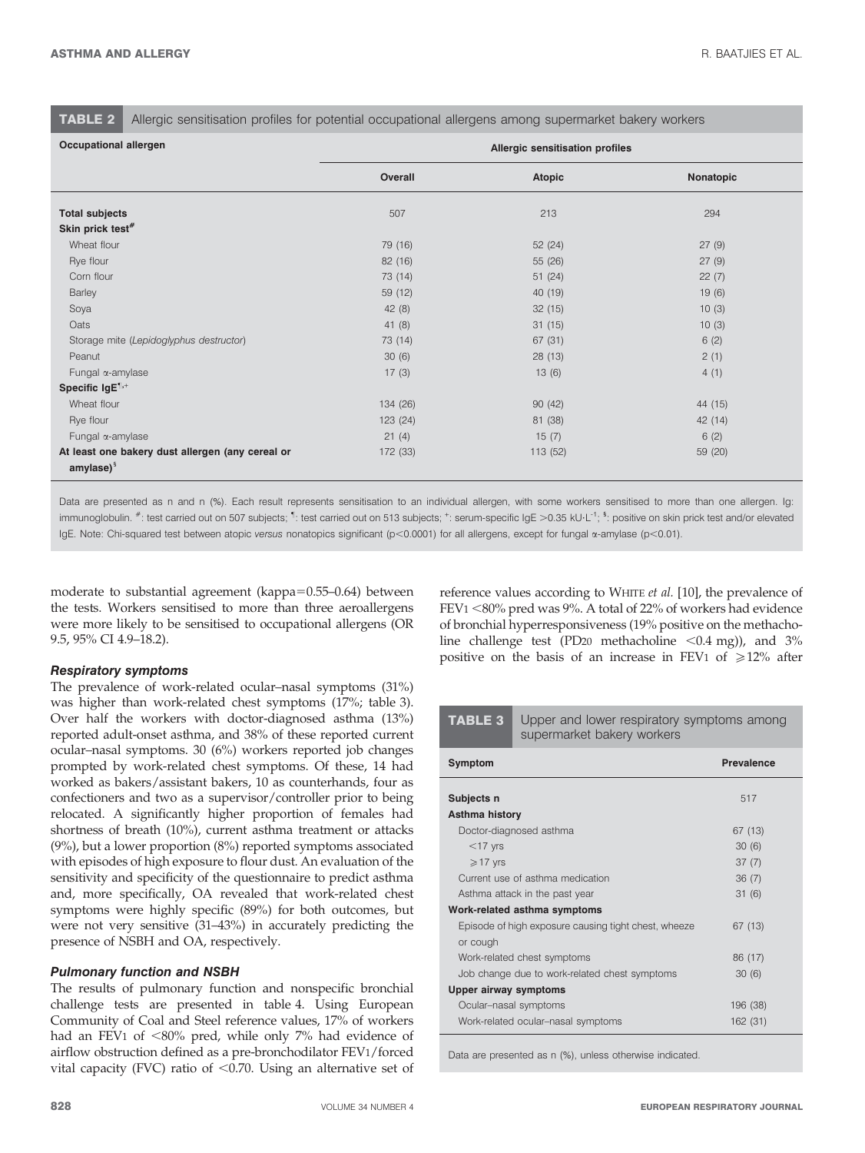TABLE 2 Allergic sensitisation profiles for potential occupational allergens among supermarket bakery workers

| Occupational allergen                                               | Allergic sensitisation profiles |               |           |  |
|---------------------------------------------------------------------|---------------------------------|---------------|-----------|--|
|                                                                     | Overall                         | <b>Atopic</b> | Nonatopic |  |
| <b>Total subjects</b>                                               | 507                             | 213           | 294       |  |
| Skin prick test <sup>#</sup>                                        |                                 |               |           |  |
| Wheat flour                                                         | 79 (16)                         | 52 (24)       | 27(9)     |  |
| Rye flour                                                           | 82 (16)                         | 55 (26)       | 27(9)     |  |
| Corn flour                                                          | 73 (14)                         | 51(24)        | 22(7)     |  |
| Barley                                                              | 59 (12)                         | 40 (19)       | 19(6)     |  |
| Soya                                                                | 42(8)                           | 32(15)        | 10(3)     |  |
| Oats                                                                | 41(8)                           | 31(15)        | 10(3)     |  |
| Storage mite (Lepidoglyphus destructor)                             | 73 (14)                         | 67 (31)       | 6(2)      |  |
| Peanut                                                              | 30(6)                           | 28(13)        | 2(1)      |  |
| Fungal $\alpha$ -amylase                                            | 17(3)                           | 13(6)         | 4(1)      |  |
| Specific $lgE^{1,+}$                                                |                                 |               |           |  |
| Wheat flour                                                         | 134 (26)                        | 90(42)        | 44 (15)   |  |
| Rye flour                                                           | 123 (24)                        | 81 (38)       | 42 (14)   |  |
| Fungal α-amylase                                                    | 21(4)                           | 15(7)         | 6(2)      |  |
| At least one bakery dust allergen (any cereal or<br>amylase $)^{5}$ | 172 (33)                        | 113 (52)      | 59 (20)   |  |

Data are presented as n and n (%). Each result represents sensitisation to an individual allergen, with some workers sensitised to more than one allergen. Ig: immunoglobulin. <sup>#</sup>: test carried out on 507 subjects; <sup>1</sup>: test carried out on 513 subjects; <sup>+</sup>: serum-specific IgE >0.35 kU·L<sup>-1</sup>; <sup>\$</sup>: positive on skin prick test and/or elevated IgE. Note: Chi-squared test between atopic versus nonatopics significant (p<0.0001) for all allergens, except for fungal  $\alpha$ -amylase (p<0.01).

moderate to substantial agreement (kappa $=0.55-0.64$ ) between the tests. Workers sensitised to more than three aeroallergens were more likely to be sensitised to occupational allergens (OR 9.5, 95% CI 4.9–18.2).

## Respiratory symptoms

The prevalence of work-related ocular–nasal symptoms (31%) was higher than work-related chest symptoms (17%; table 3). Over half the workers with doctor-diagnosed asthma (13%) reported adult-onset asthma, and 38% of these reported current ocular–nasal symptoms. 30 (6%) workers reported job changes prompted by work-related chest symptoms. Of these, 14 had worked as bakers/assistant bakers, 10 as counterhands, four as confectioners and two as a supervisor/controller prior to being relocated. A significantly higher proportion of females had shortness of breath (10%), current asthma treatment or attacks (9%), but a lower proportion (8%) reported symptoms associated with episodes of high exposure to flour dust. An evaluation of the sensitivity and specificity of the questionnaire to predict asthma and, more specifically, OA revealed that work-related chest symptoms were highly specific (89%) for both outcomes, but were not very sensitive (31–43%) in accurately predicting the presence of NSBH and OA, respectively.

#### Pulmonary function and NSBH

The results of pulmonary function and nonspecific bronchial challenge tests are presented in table 4. Using European Community of Coal and Steel reference values, 17% of workers had an FEV1 of <80% pred, while only 7% had evidence of airflow obstruction defined as a pre-bronchodilator FEV1/forced vital capacity (FVC) ratio of  $\leq$ 0.70. Using an alternative set of reference values according to WHITE et al. [10], the prevalence of  $FEV1 < 80\%$  pred was 9%. A total of 22% of workers had evidence of bronchial hyperresponsiveness (19% positive on the methacholine challenge test (PD20 methacholine  $\leq$ 0.4 mg)), and 3% positive on the basis of an increase in FEV1 of  $\geq 12\%$  after

| <b>TABLE 3</b>                                                                                               | Upper and lower respiratory symptoms among<br>supermarket bakery workers |                           |  |  |
|--------------------------------------------------------------------------------------------------------------|--------------------------------------------------------------------------|---------------------------|--|--|
| Symptom                                                                                                      |                                                                          | <b>Prevalence</b>         |  |  |
| Subjects n                                                                                                   |                                                                          | 517                       |  |  |
| Asthma history<br>$<$ 17 yrs                                                                                 | Doctor-diagnosed asthma                                                  | 67 (13)<br>30(6)<br>37(7) |  |  |
| $\geqslant$ 17 yrs<br>Current use of asthma medication<br>Asthma attack in the past year                     |                                                                          | 36(7)<br>31(6)            |  |  |
| Work-related asthma symptoms<br>Episode of high exposure causing tight chest, wheeze<br>or cough             |                                                                          | 67 (13)                   |  |  |
| Work-related chest symptoms<br>Job change due to work-related chest symptoms                                 |                                                                          | 86 (17)<br>30(6)          |  |  |
| Upper airway symptoms<br>Ocular-nasal symptoms<br>196 (38)<br>Work-related ocular-nasal symptoms<br>162 (31) |                                                                          |                           |  |  |

Data are presented as n (%), unless otherwise indicated.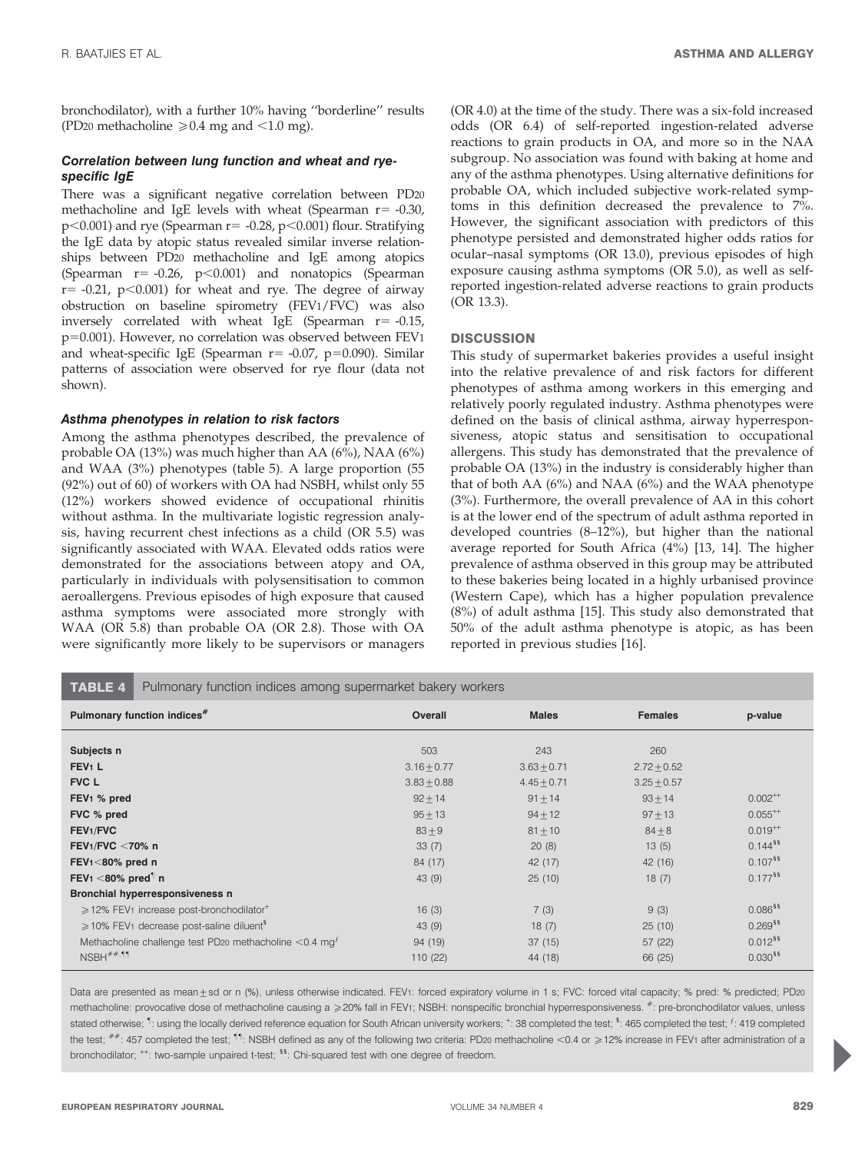bronchodilator), with a further 10% having ''borderline'' results (PD20 methacholine  $\geq 0.4$  mg and  $\leq 1.0$  mg).

## Correlation between lung function and wheat and ryespecific IgE

There was a significant negative correlation between PD20 methacholine and IgE levels with wheat (Spearman  $r=$  -0.30,  $p<0.001$ ) and rye (Spearman r= -0.28, p $<0.001$ ) flour. Stratifying the IgE data by atopic status revealed similar inverse relationships between PD20 methacholine and IgE among atopics (Spearman  $r = -0.26$ ,  $p < 0.001$ ) and nonatopics (Spearman  $r=$  -0.21, p $<$ 0.001) for wheat and rye. The degree of airway obstruction on baseline spirometry (FEV1/FVC) was also inversely correlated with wheat IgE (Spearman  $r = -0.15$ ,  $p=0.001$ ). However, no correlation was observed between FEV1 and wheat-specific IgE (Spearman  $r = -0.07$ , p=0.090). Similar patterns of association were observed for rye flour (data not shown).

## Asthma phenotypes in relation to risk factors

Among the asthma phenotypes described, the prevalence of probable OA (13%) was much higher than AA (6%), NAA (6%) and WAA (3%) phenotypes (table 5). A large proportion (55 (92%) out of 60) of workers with OA had NSBH, whilst only 55 (12%) workers showed evidence of occupational rhinitis without asthma. In the multivariate logistic regression analysis, having recurrent chest infections as a child (OR 5.5) was significantly associated with WAA. Elevated odds ratios were demonstrated for the associations between atopy and OA, particularly in individuals with polysensitisation to common aeroallergens. Previous episodes of high exposure that caused asthma symptoms were associated more strongly with WAA (OR 5.8) than probable OA (OR 2.8). Those with OA were significantly more likely to be supervisors or managers

(OR 4.0) at the time of the study. There was a six-fold increased odds (OR 6.4) of self-reported ingestion-related adverse reactions to grain products in OA, and more so in the NAA subgroup. No association was found with baking at home and any of the asthma phenotypes. Using alternative definitions for probable OA, which included subjective work-related symptoms in this definition decreased the prevalence to 7%. However, the significant association with predictors of this phenotype persisted and demonstrated higher odds ratios for ocular–nasal symptoms (OR 13.0), previous episodes of high exposure causing asthma symptoms (OR 5.0), as well as selfreported ingestion-related adverse reactions to grain products (OR 13.3).

## **DISCUSSION**

This study of supermarket bakeries provides a useful insight into the relative prevalence of and risk factors for different phenotypes of asthma among workers in this emerging and relatively poorly regulated industry. Asthma phenotypes were defined on the basis of clinical asthma, airway hyperresponsiveness, atopic status and sensitisation to occupational allergens. This study has demonstrated that the prevalence of probable OA (13%) in the industry is considerably higher than that of both AA (6%) and NAA (6%) and the WAA phenotype (3%). Furthermore, the overall prevalence of AA in this cohort is at the lower end of the spectrum of adult asthma reported in developed countries (8–12%), but higher than the national average reported for South Africa (4%) [13, 14]. The higher prevalence of asthma observed in this group may be attributed to these bakeries being located in a highly urbanised province (Western Cape), which has a higher population prevalence (8%) of adult asthma [15]. This study also demonstrated that 50% of the adult asthma phenotype is atopic, as has been reported in previous studies [16].

TABLE 4 Pulmonary function indices among supermarket bakery workers

| Pulmonary function indices <sup>#</sup>                                    | <b>Overall</b>  | <b>Males</b>    | <b>Females</b>  | p-value                 |
|----------------------------------------------------------------------------|-----------------|-----------------|-----------------|-------------------------|
|                                                                            |                 |                 |                 |                         |
| Subjects n                                                                 | 503             | 243             | 260             |                         |
| FEV <sub>1</sub> L                                                         | $3.16 \pm 0.77$ | $3.63 \pm 0.71$ | $2.72 \pm 0.52$ |                         |
| <b>FVC L</b>                                                               | $3.83 + 0.88$   | $4.45 + 0.71$   | $3.25 + 0.57$   |                         |
| FEV <sub>1</sub> % pred                                                    | $92 + 14$       | $91 + 14$       | $93 + 14$       | $0.002^{++}$            |
| FVC % pred                                                                 | $95 + 13$       | $94 + 12$       | $97 + 13$       | $0.055^{++}$            |
| FEV <sub>1</sub> /FVC                                                      | $83 + 9$        | $81 + 10$       | $84 + 8$        | $0.019^{++}$            |
| FEV1/FVC $<$ 70% n                                                         | 33(7)           | 20(8)           | 13(5)           | $0.144$ <sup>§§</sup>   |
| $FEV1 < 80\%$ pred n                                                       | 84 (17)         | 42 (17)         | 42 (16)         | $0.107$ <sup>§§</sup>   |
| FEV <sub>1</sub> <80% pred <sup>1</sup> n                                  | 43(9)           | 25(10)          | 18(7)           | $0.177^{85}$            |
| Bronchial hyperresponsiveness n                                            |                 |                 |                 |                         |
| $\ge$ 12% FEV1 increase post-bronchodilator <sup>+</sup>                   | 16(3)           | 7(3)            | 9(3)            | $0.086$ <sup>\$\$</sup> |
| $\geqslant$ 10% FEV <sub>1</sub> decrease post-saline diluent <sup>8</sup> | 43(9)           | 18(7)           | 25(10)          | $0.269$ <sup>\$\$</sup> |
| Methacholine challenge test PD20 methacholine <0.4 mg <sup>f</sup>         | 94 (19)         | 37(15)          | 57 (22)         | $0.012$ <sup>\$\$</sup> |
| $NSBH$ ##,¶                                                                | 110 (22)        | 44 (18)         | 66 (25)         | $0.030$ <sup>\$\$</sup> |

Data are presented as mean ±sd or n (%), unless otherwise indicated. FEV1: forced expiratory volume in 1 s; FVC: forced vital capacity; % pred: % predicted; PD20 methacholine: provocative dose of methacholine causing a  $\geq$  20% fall in FEV1; NSBH: nonspecific bronchial hyperresponsiveness.  $\#$ : pre-bronchodilator values, unless stated otherwise; <sup>1</sup>: using the locally derived reference equation for South African university workers; <sup>+</sup>: 38 completed the test; <sup>\$</sup>: 465 completed the test; <sup>f</sup>: 419 completed the test;  $**$ : 457 completed the test; <sup>11</sup>: NSBH defined as any of the following two criteria: PD20 methacholine <0.4 or  $\geq$  12% increase in FEV1 after administration of a bronchodilator; <sup>++</sup>: two-sample unpaired t-test; <sup>\$\$</sup>: Chi-squared test with one degree of freedom.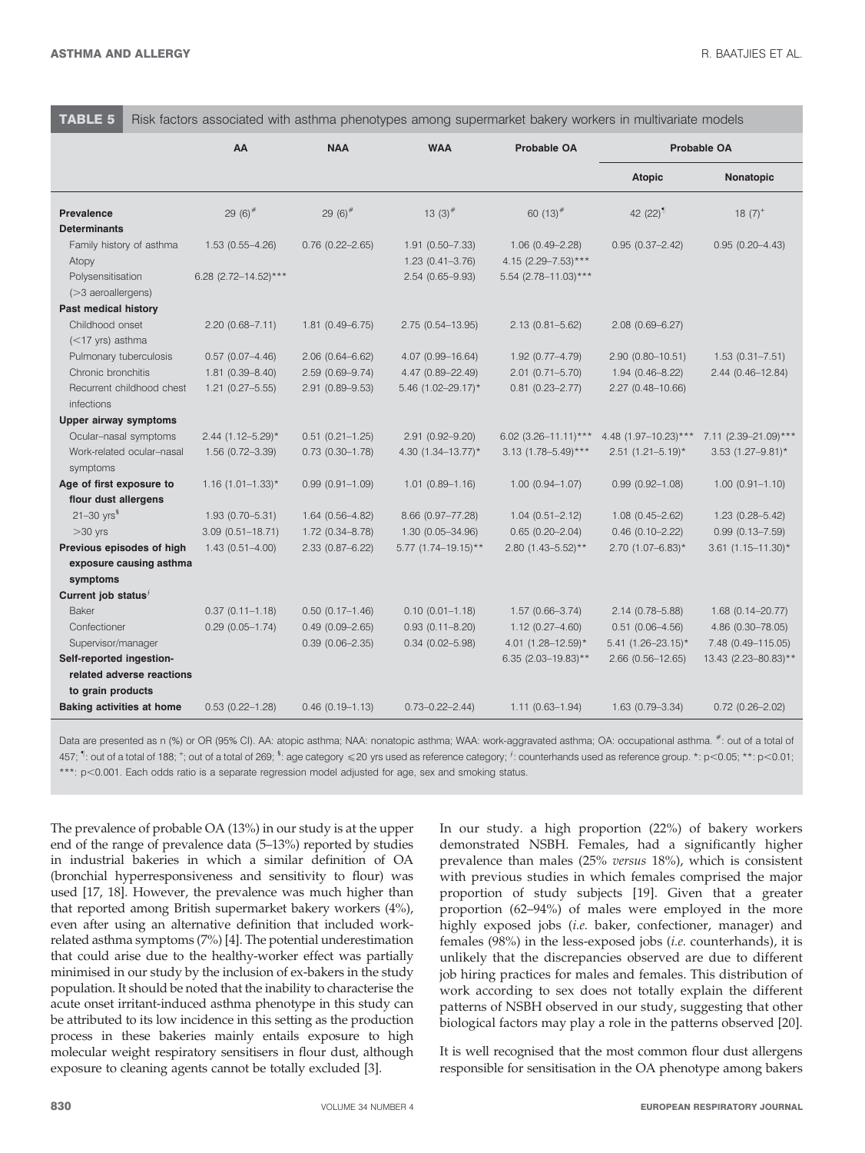TABLE 5 Risk factors associated with asthma phenotypes among supermarket bakery workers in multivariate models

|                                  | AA                     | <b>NAA</b>             | <b>WAA</b>              | <b>Probable OA</b>       | <b>Probable OA</b>      |                          |
|----------------------------------|------------------------|------------------------|-------------------------|--------------------------|-------------------------|--------------------------|
|                                  |                        |                        |                         |                          | <b>Atopic</b>           | Nonatopic                |
| <b>Prevalence</b>                | 29 $(6)$ <sup>#</sup>  | 29 (6) $#$             | 13 $(3)^{#}$            | 60 $(13)$ <sup>#</sup>   | 42 $(22)^{9}$           | $18(7)^+$                |
| <b>Determinants</b>              |                        |                        |                         |                          |                         |                          |
| Family history of asthma         | $1.53(0.55 - 4.26)$    | $0.76$ $(0.22 - 2.65)$ | $1.91(0.50 - 7.33)$     | $1.06(0.49 - 2.28)$      | $0.95(0.37 - 2.42)$     | $0.95(0.20 - 4.43)$      |
| Atopy                            |                        |                        | $1.23(0.41 - 3.76)$     | 4.15 (2.29-7.53)***      |                         |                          |
| Polysensitisation                | 6.28 (2.72-14.52)***   |                        | $2.54(0.65 - 9.93)$     | $5.54$ (2.78-11.03)***   |                         |                          |
| $($ >3 aeroallergens)            |                        |                        |                         |                          |                         |                          |
| Past medical history             |                        |                        |                         |                          |                         |                          |
| Childhood onset                  | $2.20(0.68 - 7.11)$    | $1.81(0.49 - 6.75)$    | $2.75(0.54 - 13.95)$    | $2.13(0.81 - 5.62)$      | $2.08$ (0.69-6.27)      |                          |
| $(<$ 17 yrs) asthma              |                        |                        |                         |                          |                         |                          |
| Pulmonary tuberculosis           | $0.57(0.07 - 4.46)$    | $2.06(0.64 - 6.62)$    | $4.07(0.99 - 16.64)$    | $1.92(0.77 - 4.79)$      | $2.90(0.80 - 10.51)$    | $1.53(0.31 - 7.51)$      |
| Chronic bronchitis               | $1.81(0.39 - 8.40)$    | $2.59(0.69 - 9.74)$    | 4.47 (0.89-22.49)       | $2.01(0.71 - 5.70)$      | $1.94(0.46 - 8.22)$     | $2.44(0.46 - 12.84)$     |
| Recurrent childhood chest        | $1.21(0.27 - 5.55)$    | 2.91 (0.89-9.53)       | 5.46 $(1.02 - 29.17)^*$ | $0.81$ $(0.23 - 2.77)$   | $2.27(0.48 - 10.66)$    |                          |
| infections                       |                        |                        |                         |                          |                         |                          |
| <b>Upper airway symptoms</b>     |                        |                        |                         |                          |                         |                          |
| Ocular-nasal symptoms            | $2.44$ (1.12-5.29)*    | $0.51(0.21 - 1.25)$    | $2.91(0.92 - 9.20)$     | 6.02 (3.26-11.11)***     | 4.48 (1.97-10.23)***    | 7.11 (2.39-21.09)***     |
| Work-related ocular-nasal        | $1.56(0.72 - 3.39)$    | $0.73(0.30 - 1.78)$    | 4.30 $(1.34 - 13.77)^*$ | $3.13$ (1.78-5.49)***    | $2.51$ (1.21-5.19)*     | $3.53$ $(1.27 - 9.81)^*$ |
| symptoms                         |                        |                        |                         |                          |                         |                          |
| Age of first exposure to         | $1.16$ (1.01-1.33)*    | $0.99(0.91 - 1.09)$    | $1.01(0.89 - 1.16)$     | $1.00(0.94 - 1.07)$      | $0.99(0.92 - 1.08)$     | $1.00(0.91 - 1.10)$      |
| flour dust allergens             |                        |                        |                         |                          |                         |                          |
| $21 - 30$ yrs <sup>§</sup>       | $1.93(0.70 - 5.31)$    | $1.64(0.56 - 4.82)$    | 8.66 (0.97-77.28)       | $1.04(0.51 - 2.12)$      | $1.08(0.45 - 2.62)$     | $1.23(0.28 - 5.42)$      |
| $>30$ yrs                        | $3.09(0.51 - 18.71)$   | $1.72(0.34 - 8.78)$    | 1.30 (0.05-34.96)       | $0.65(0.20 - 2.04)$      | $0.46(0.10 - 2.22)$     | $0.99(0.13 - 7.59)$      |
| Previous episodes of high        | $1.43(0.51 - 4.00)$    | $2.33(0.87 - 6.22)$    | $5.77$ (1.74-19.15)**   | 2.80 $(1.43 - 5.52)$ **  | $2.70$ (1.07-6.83)*     | $3.61$ (1.15-11.30)*     |
| exposure causing asthma          |                        |                        |                         |                          |                         |                          |
| symptoms                         |                        |                        |                         |                          |                         |                          |
| Current job status $f$           |                        |                        |                         |                          |                         |                          |
| <b>Baker</b>                     | $0.37(0.11 - 1.18)$    | $0.50(0.17 - 1.46)$    | $0.10(0.01 - 1.18)$     | $1.57(0.66 - 3.74)$      | $2.14(0.78 - 5.88)$     | $1.68$ (0.14-20.77)      |
| Confectioner                     | $0.29(0.05 - 1.74)$    | $0.49(0.09 - 2.65)$    | $0.93(0.11 - 8.20)$     | $1.12(0.27 - 4.60)$      | $0.51(0.06 - 4.56)$     | 4.86 (0.30-78.05)        |
| Supervisor/manager               |                        | $0.39(0.06 - 2.35)$    | $0.34(0.02 - 5.98)$     | 4.01 $(1.28 - 12.59)^*$  | $5.41 (1.26 - 23.15)^*$ | 7.48 (0.49-115.05)       |
| Self-reported ingestion-         |                        |                        |                         | 6.35 $(2.03 - 19.83)$ ** | $2.66$ (0.56-12.65)     | 13.43 (2.23-80.83)**     |
| related adverse reactions        |                        |                        |                         |                          |                         |                          |
| to grain products                |                        |                        |                         |                          |                         |                          |
| <b>Baking activities at home</b> | $0.53$ $(0.22 - 1.28)$ | $0.46$ (0.19-1.13)     | $0.73 - 0.22 - 2.44$    | $1.11(0.63 - 1.94)$      | $1.63(0.79 - 3.34)$     | $0.72(0.26 - 2.02)$      |

Data are presented as n (%) or OR (95% CI). AA: atopic asthma; NAA: nonatopic asthma; WAA: work-aggravated asthma; OA: occupational asthma. #: out of a total of 457; <sup>1</sup>: out of a total of 188; <sup>+</sup>; out of a total of 269; <sup>\$</sup>: age category <20 yrs used as reference category; <sup>f</sup>: counterhands used as reference group. \*: p<0.05; \*\*: p<0.01; \*\*\*: p<0.001. Each odds ratio is a separate regression model adjusted for age, sex and smoking status.

The prevalence of probable OA (13%) in our study is at the upper end of the range of prevalence data (5–13%) reported by studies in industrial bakeries in which a similar definition of OA (bronchial hyperresponsiveness and sensitivity to flour) was used [17, 18]. However, the prevalence was much higher than that reported among British supermarket bakery workers (4%), even after using an alternative definition that included workrelated asthma symptoms (7%) [4]. The potential underestimation that could arise due to the healthy-worker effect was partially minimised in our study by the inclusion of ex-bakers in the study population. It should be noted that the inability to characterise the acute onset irritant-induced asthma phenotype in this study can be attributed to its low incidence in this setting as the production process in these bakeries mainly entails exposure to high molecular weight respiratory sensitisers in flour dust, although exposure to cleaning agents cannot be totally excluded [3].

In our study. a high proportion (22%) of bakery workers demonstrated NSBH. Females, had a significantly higher prevalence than males (25% versus 18%), which is consistent with previous studies in which females comprised the major proportion of study subjects [19]. Given that a greater proportion (62–94%) of males were employed in the more highly exposed jobs (i.e. baker, confectioner, manager) and females (98%) in the less-exposed jobs (i.e. counterhands), it is unlikely that the discrepancies observed are due to different job hiring practices for males and females. This distribution of work according to sex does not totally explain the different patterns of NSBH observed in our study, suggesting that other biological factors may play a role in the patterns observed [20].

It is well recognised that the most common flour dust allergens responsible for sensitisation in the OA phenotype among bakers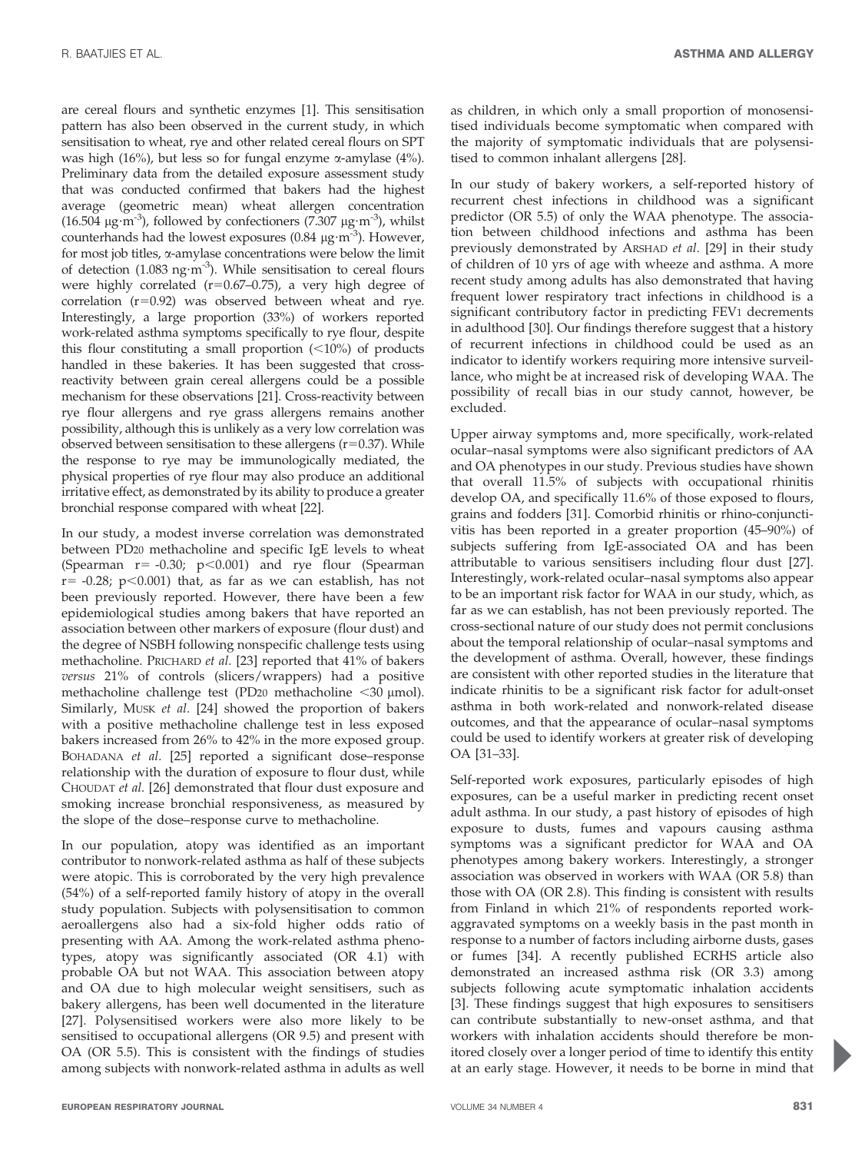are cereal flours and synthetic enzymes [1]. This sensitisation pattern has also been observed in the current study, in which sensitisation to wheat, rye and other related cereal flours on SPT was high (16%), but less so for fungal enzyme  $\alpha$ -amylase (4%). Preliminary data from the detailed exposure assessment study that was conducted confirmed that bakers had the highest average (geometric mean) wheat allergen concentration (16.504  $\mu$ g·m<sup>-3</sup>), followed by confectioners (7.307  $\mu$ g·m<sup>-3</sup>), whilst counterhands had the lowest exposures (0.84  $\mu$ g·m<sup>-3</sup>). However, for most job titles, a-amylase concentrations were below the limit of detection (1.083 ng·m<sup>-3</sup>). While sensitisation to cereal flours were highly correlated ( $r=0.67-0.75$ ), a very high degree of correlation  $(r=0.92)$  was observed between wheat and rye. Interestingly, a large proportion (33%) of workers reported work-related asthma symptoms specifically to rye flour, despite this flour constituting a small proportion  $\left( \langle 10\% \rangle \right)$  of products handled in these bakeries. It has been suggested that crossreactivity between grain cereal allergens could be a possible mechanism for these observations [21]. Cross-reactivity between rye flour allergens and rye grass allergens remains another possibility, although this is unlikely as a very low correlation was observed between sensitisation to these allergens  $(r=0.37)$ . While the response to rye may be immunologically mediated, the physical properties of rye flour may also produce an additional irritative effect, as demonstrated by its ability to produce a greater bronchial response compared with wheat [22].

In our study, a modest inverse correlation was demonstrated between PD20 methacholine and specific IgE levels to wheat (Spearman  $r = -0.30$ ;  $p < 0.001$ ) and rye flour (Spearman  $r=$  -0.28; p $<$ 0.001) that, as far as we can establish, has not been previously reported. However, there have been a few epidemiological studies among bakers that have reported an association between other markers of exposure (flour dust) and the degree of NSBH following nonspecific challenge tests using methacholine. PRICHARD et al. [23] reported that 41% of bakers versus 21% of controls (slicers/wrappers) had a positive methacholine challenge test (PD20 methacholine  $\langle 30 \text{ \mu mol} \rangle$ . Similarly, MUSK et al. [24] showed the proportion of bakers with a positive methacholine challenge test in less exposed bakers increased from 26% to 42% in the more exposed group. BOHADANA et al. [25] reported a significant dose–response relationship with the duration of exposure to flour dust, while CHOUDAT et al. [26] demonstrated that flour dust exposure and smoking increase bronchial responsiveness, as measured by the slope of the dose–response curve to methacholine.

In our population, atopy was identified as an important contributor to nonwork-related asthma as half of these subjects were atopic. This is corroborated by the very high prevalence (54%) of a self-reported family history of atopy in the overall study population. Subjects with polysensitisation to common aeroallergens also had a six-fold higher odds ratio of presenting with AA. Among the work-related asthma phenotypes, atopy was significantly associated (OR 4.1) with probable OA but not WAA. This association between atopy and OA due to high molecular weight sensitisers, such as bakery allergens, has been well documented in the literature [27]. Polysensitised workers were also more likely to be sensitised to occupational allergens (OR 9.5) and present with OA (OR 5.5). This is consistent with the findings of studies among subjects with nonwork-related asthma in adults as well as children, in which only a small proportion of monosensitised individuals become symptomatic when compared with the majority of symptomatic individuals that are polysensitised to common inhalant allergens [28].

In our study of bakery workers, a self-reported history of recurrent chest infections in childhood was a significant predictor (OR 5.5) of only the WAA phenotype. The association between childhood infections and asthma has been previously demonstrated by ARSHAD et al. [29] in their study of children of 10 yrs of age with wheeze and asthma. A more recent study among adults has also demonstrated that having frequent lower respiratory tract infections in childhood is a significant contributory factor in predicting FEV1 decrements in adulthood [30]. Our findings therefore suggest that a history of recurrent infections in childhood could be used as an indicator to identify workers requiring more intensive surveillance, who might be at increased risk of developing WAA. The possibility of recall bias in our study cannot, however, be excluded.

Upper airway symptoms and, more specifically, work-related ocular–nasal symptoms were also significant predictors of AA and OA phenotypes in our study. Previous studies have shown that overall 11.5% of subjects with occupational rhinitis develop OA, and specifically 11.6% of those exposed to flours, grains and fodders [31]. Comorbid rhinitis or rhino-conjunctivitis has been reported in a greater proportion (45–90%) of subjects suffering from IgE-associated OA and has been attributable to various sensitisers including flour dust [27]. Interestingly, work-related ocular–nasal symptoms also appear to be an important risk factor for WAA in our study, which, as far as we can establish, has not been previously reported. The cross-sectional nature of our study does not permit conclusions about the temporal relationship of ocular–nasal symptoms and the development of asthma. Overall, however, these findings are consistent with other reported studies in the literature that indicate rhinitis to be a significant risk factor for adult-onset asthma in both work-related and nonwork-related disease outcomes, and that the appearance of ocular–nasal symptoms could be used to identify workers at greater risk of developing OA [31–33].

Self-reported work exposures, particularly episodes of high exposures, can be a useful marker in predicting recent onset adult asthma. In our study, a past history of episodes of high exposure to dusts, fumes and vapours causing asthma symptoms was a significant predictor for WAA and OA phenotypes among bakery workers. Interestingly, a stronger association was observed in workers with WAA (OR 5.8) than those with OA (OR 2.8). This finding is consistent with results from Finland in which 21% of respondents reported workaggravated symptoms on a weekly basis in the past month in response to a number of factors including airborne dusts, gases or fumes [34]. A recently published ECRHS article also demonstrated an increased asthma risk (OR 3.3) among subjects following acute symptomatic inhalation accidents [3]. These findings suggest that high exposures to sensitisers can contribute substantially to new-onset asthma, and that workers with inhalation accidents should therefore be monitored closely over a longer period of time to identify this entity at an early stage. However, it needs to be borne in mind that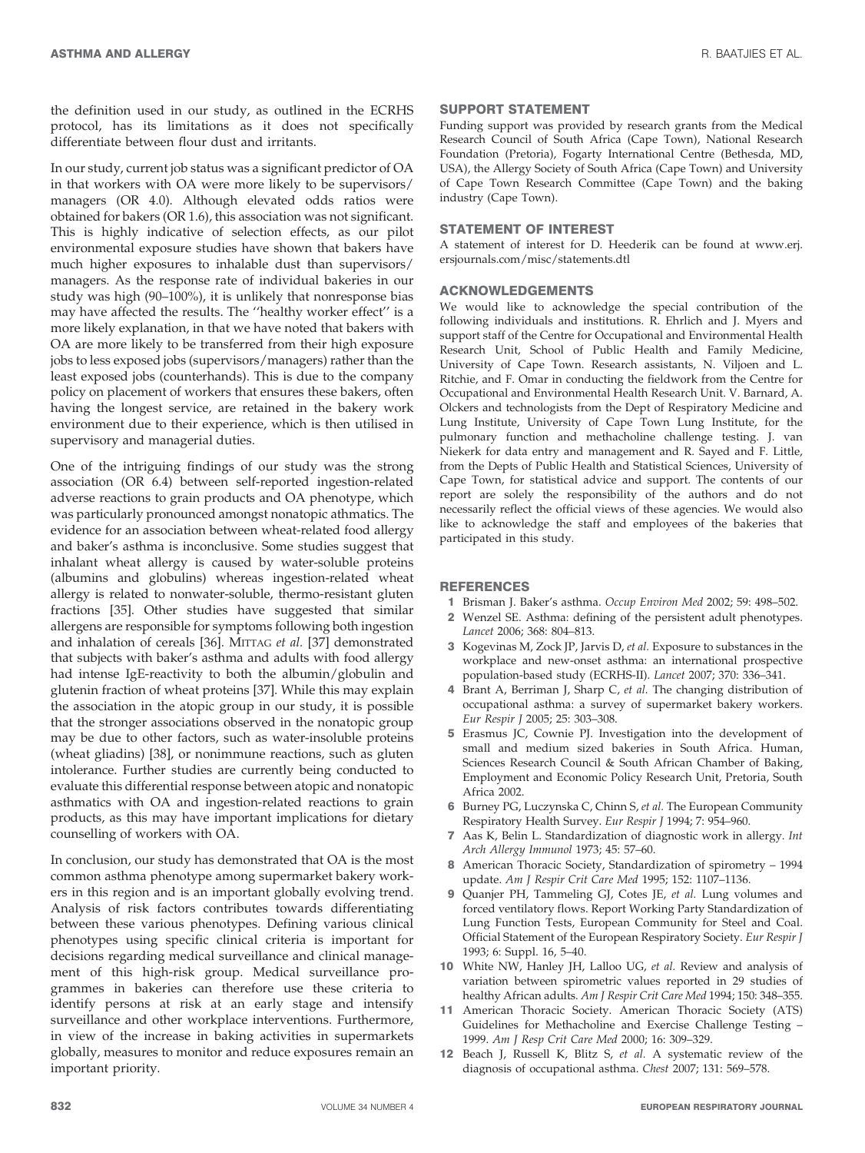the definition used in our study, as outlined in the ECRHS protocol, has its limitations as it does not specifically differentiate between flour dust and irritants.

In our study, current job status was a significant predictor of OA in that workers with OA were more likely to be supervisors/ managers (OR 4.0). Although elevated odds ratios were obtained for bakers (OR 1.6), this association was not significant. This is highly indicative of selection effects, as our pilot environmental exposure studies have shown that bakers have much higher exposures to inhalable dust than supervisors/ managers. As the response rate of individual bakeries in our study was high (90–100%), it is unlikely that nonresponse bias may have affected the results. The ''healthy worker effect'' is a more likely explanation, in that we have noted that bakers with OA are more likely to be transferred from their high exposure jobs to less exposed jobs (supervisors/managers) rather than the least exposed jobs (counterhands). This is due to the company policy on placement of workers that ensures these bakers, often having the longest service, are retained in the bakery work environment due to their experience, which is then utilised in supervisory and managerial duties.

One of the intriguing findings of our study was the strong association (OR 6.4) between self-reported ingestion-related adverse reactions to grain products and OA phenotype, which was particularly pronounced amongst nonatopic athmatics. The evidence for an association between wheat-related food allergy and baker's asthma is inconclusive. Some studies suggest that inhalant wheat allergy is caused by water-soluble proteins (albumins and globulins) whereas ingestion-related wheat allergy is related to nonwater-soluble, thermo-resistant gluten fractions [35]. Other studies have suggested that similar allergens are responsible for symptoms following both ingestion and inhalation of cereals [36]. MITTAG et al. [37] demonstrated that subjects with baker's asthma and adults with food allergy had intense IgE-reactivity to both the albumin/globulin and glutenin fraction of wheat proteins [37]. While this may explain the association in the atopic group in our study, it is possible that the stronger associations observed in the nonatopic group may be due to other factors, such as water-insoluble proteins (wheat gliadins) [38], or nonimmune reactions, such as gluten intolerance. Further studies are currently being conducted to evaluate this differential response between atopic and nonatopic asthmatics with OA and ingestion-related reactions to grain products, as this may have important implications for dietary counselling of workers with OA.

In conclusion, our study has demonstrated that OA is the most common asthma phenotype among supermarket bakery workers in this region and is an important globally evolving trend. Analysis of risk factors contributes towards differentiating between these various phenotypes. Defining various clinical phenotypes using specific clinical criteria is important for decisions regarding medical surveillance and clinical management of this high-risk group. Medical surveillance programmes in bakeries can therefore use these criteria to identify persons at risk at an early stage and intensify surveillance and other workplace interventions. Furthermore, in view of the increase in baking activities in supermarkets globally, measures to monitor and reduce exposures remain an important priority.

#### SUPPORT STATEMENT

Funding support was provided by research grants from the Medical Research Council of South Africa (Cape Town), National Research Foundation (Pretoria), Fogarty International Centre (Bethesda, MD, USA), the Allergy Society of South Africa (Cape Town) and University of Cape Town Research Committee (Cape Town) and the baking industry (Cape Town).

#### STATEMENT OF INTEREST

A statement of interest for D. Heederik can be found at www.erj. ersjournals.com/misc/statements.dtl

#### ACKNOWLEDGEMENTS

We would like to acknowledge the special contribution of the following individuals and institutions. R. Ehrlich and J. Myers and support staff of the Centre for Occupational and Environmental Health Research Unit, School of Public Health and Family Medicine, University of Cape Town. Research assistants, N. Viljoen and L. Ritchie, and F. Omar in conducting the fieldwork from the Centre for Occupational and Environmental Health Research Unit. V. Barnard, A. Olckers and technologists from the Dept of Respiratory Medicine and Lung Institute, University of Cape Town Lung Institute, for the pulmonary function and methacholine challenge testing. J. van Niekerk for data entry and management and R. Sayed and F. Little, from the Depts of Public Health and Statistical Sciences, University of Cape Town, for statistical advice and support. The contents of our report are solely the responsibility of the authors and do not necessarily reflect the official views of these agencies. We would also like to acknowledge the staff and employees of the bakeries that participated in this study.

#### **REFERENCES**

- 1 Brisman J. Baker's asthma. Occup Environ Med 2002; 59: 498–502.
- 2 Wenzel SE. Asthma: defining of the persistent adult phenotypes. Lancet 2006; 368: 804–813.
- 3 Kogevinas M, Zock JP, Jarvis D, et al. Exposure to substances in the workplace and new-onset asthma: an international prospective population-based study (ECRHS-II). Lancet 2007; 370: 336–341.
- 4 Brant A, Berriman J, Sharp C, et al. The changing distribution of occupational asthma: a survey of supermarket bakery workers. Eur Respir J 2005; 25: 303–308.
- 5 Erasmus JC, Cownie PJ. Investigation into the development of small and medium sized bakeries in South Africa. Human, Sciences Research Council & South African Chamber of Baking, Employment and Economic Policy Research Unit, Pretoria, South Africa 2002.
- 6 Burney PG, Luczynska C, Chinn S, et al. The European Community Respiratory Health Survey. Eur Respir J 1994; 7: 954–960.
- 7 Aas K, Belin L. Standardization of diagnostic work in allergy. Int Arch Allergy Immunol 1973; 45: 57–60.
- 8 American Thoracic Society, Standardization of spirometry 1994 update. Am J Respir Crit Care Med 1995; 152: 1107–1136.
- 9 Quanjer PH, Tammeling GJ, Cotes JE, et al. Lung volumes and forced ventilatory flows. Report Working Party Standardization of Lung Function Tests, European Community for Steel and Coal. Official Statement of the European Respiratory Society. Eur Respir J 1993; 6: Suppl. 16, 5–40.
- 10 White NW, Hanley JH, Lalloo UG, et al. Review and analysis of variation between spirometric values reported in 29 studies of healthy African adults. Am J Respir Crit Care Med 1994; 150: 348-355.
- 11 American Thoracic Society. American Thoracic Society (ATS) Guidelines for Methacholine and Exercise Challenge Testing – 1999. Am J Resp Crit Care Med 2000; 16: 309–329.
- 12 Beach J, Russell K, Blitz S, et al. A systematic review of the diagnosis of occupational asthma. Chest 2007; 131: 569–578.